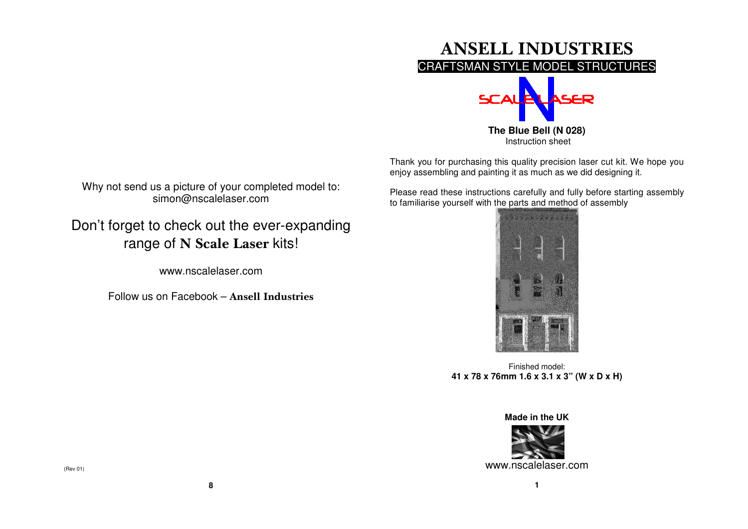

Thank you for purchasing this quality precision laser cut kit. We hope you enjoy assembling and painting it as much as we did designing it.

Please read these instructions carefully and fully before starting assembly to familiarise yourself with the parts and method of assembly



Finished model: **41 x 78 x 76mm 1.6 x 3.1 x 3" (W x D x H)** 

**Made in the UK** 



**1** 

Why not send us a picture of your completed model to: simon@nscalelaser.com

Don't forget to check out the ever-expanding range of <mark>N Scale Laser</mark> kits!

www.nscalelaser.com

Follow us on Facebook – Ansell Industries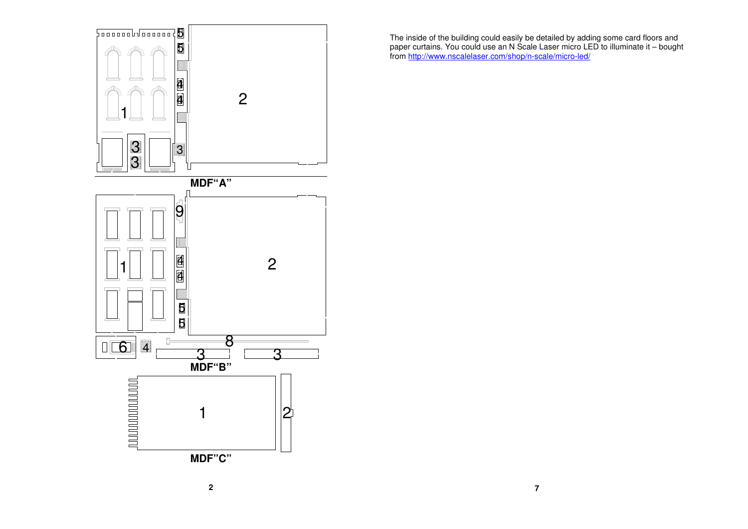

The inside of the building could easily be detailed by adding some card floors and<br>paper curtains. You could use an N Scale Laser micro LED to illuminate it – bought<br>from <u>http://www.nscalelaser.com/shop/n-scale/micro-led/</u>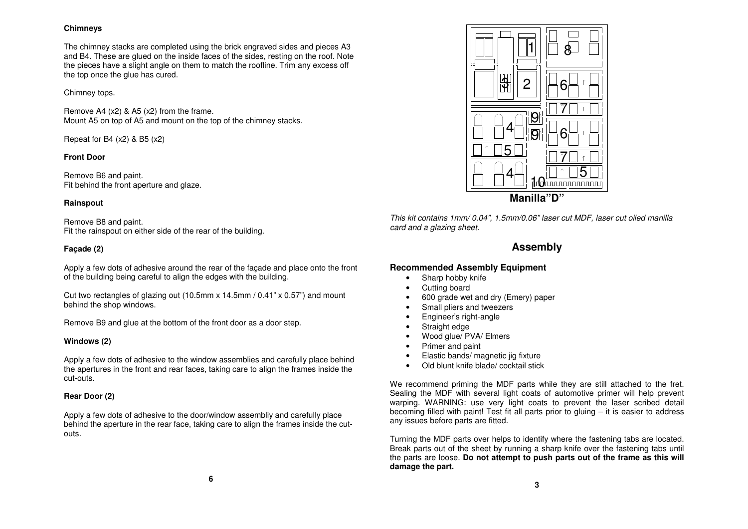### **Chimneys**

The chimney stacks are completed using the brick engraved sides and pieces A3 and B4. These are glued on the inside faces of the sides, resting on the roof. Note the pieces have a slight angle on them to match the roofline. Trim any excess off the top once the glue has cured.

### Chimney tops.

Remove A4 (x2) & A5 (x2) from the frame. Mount A5 on top of A5 and mount on the top of the chimney stacks.

Repeat for B4  $(x2)$  & B5  $(x2)$ 

## **Front Door**

Remove B6 and paint. Fit behind the front aperture and glaze.

## **Rainspout**

Remove B8 and paint. Fit the rainspout on either side of the rear of the building.

# **Façade (2)**

Apply a few dots of adhesive around the rear of the façade and place onto the front of the building being careful to align the edges with the building.

Cut two rectangles of glazing out (10.5mm x 14.5mm / 0.41" x 0.57") and mount behind the shop windows.

Remove B9 and glue at the bottom of the front door as a door step.

# **Windows (2)**

Apply a few dots of adhesive to the window assemblies and carefully place behind the apertures in the front and rear faces, taking care to align the frames inside the cut-outs.

# **Rear Door (2)**

Apply a few dots of adhesive to the door/window assembliy and carefully place behind the aperture in the rear face, taking care to align the frames inside the cutouts.



This kit contains 1mm/ 0.04", 1.5mm/0.06" laser cut MDF, laser cut oiled manilla card and a glazing sheet.

# **Assembly**

# **Recommended Assembly Equipment**

- Sharp hobby knife
- Cutting board
- 600 grade wet and dry (Emery) paper
- Small pliers and tweezers
- Engineer's right-angle
- Straight edge
- Wood glue/ PVA/ Elmers
- Primer and paint
- Elastic bands/ magnetic jig fixture
- Old blunt knife blade/ cocktail stick

We recommend priming the MDF parts while they are still attached to the fret. Sealing the MDF with several light coats of automotive primer will help prevent warping. WARNING: use very light coats to prevent the laser scribed detail becoming filled with paint! Test fit all parts prior to gluing – it is easier to address any issues before parts are fitted.

Turning the MDF parts over helps to identify where the fastening tabs are located. Break parts out of the sheet by running a sharp knife over the fastening tabs until the parts are loose. **Do not attempt to push parts out of the frame as this will damage the part.**